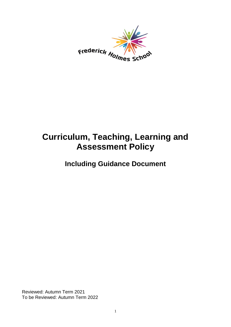

# **Curriculum, Teaching, Learning and Assessment Policy**

**Including Guidance Document**

Reviewed: Autumn Term 2021 To be Reviewed: Autumn Term 2022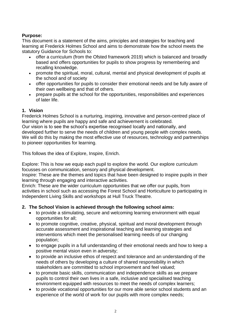# **Purpose:**

This document is a statement of the aims, principles and strategies for teaching and learning at Frederick Holmes School and aims to demonstrate how the school meets the statutory Guidance for Schools to:

- offer a curriculum (from the Ofsted framework 2019) which is balanced and broadly based and offers opportunities for pupils to show progress by remembering and recalling knowledge.
- promote the spiritual, moral, cultural, mental and physical development of pupils at the school and of society
- offer opportunities for pupils to consider their emotional needs and be fully aware of their own wellbeing and that of others.
- prepare pupils at the school for the opportunities, responsibilities and experiences of later life.

#### **1. Vision**

Frederick Holmes School is a nurturing, inspiring, innovative and person-centred place of learning where pupils are happy and safe and achievement is celebrated. Our vision is to see the school's expertise recognised locally and nationally, and developed further to serve the needs of children and young people with complex needs. We will do this by making the most effective use of resources, technology and partnerships to pioneer opportunities for learning.

This follows the idea of Explore, Inspire, Enrich.

Explore: This is how we equip each pupil to explore the world. Our explore curriculum focusses on communication, sensory and physical development.

Inspire: These are the themes and topics that have been designed to inspire pupils in their learning through engaging and interactive activities.

Enrich: These are the wider curriculum opportunities that we offer our pupils, from activities in school such as accessing the Forest School and Horticulture to participating in Independent Living Skills and workshops at Hull Truck Theatre.

#### **2. The School Vision is achieved through the following school aims:**

- to provide a stimulating, secure and welcoming learning environment with equal opportunities for all;
- to promote cognitive, creative, physical, spiritual and moral development through accurate assessment and inspirational teaching and learning strategies and interventions which meet the personalised learning needs of our changing population;
- to engage pupils in a full understanding of their emotional needs and how to keep a positive mental vision even in adversity;
- to provide an inclusive ethos of respect and tolerance and an understanding of the needs of others by developing a culture of shared responsibility in which stakeholders are committed to school improvement and feel valued;
- to promote basic skills, communication and independence skills as we prepare pupils to control their own lives in a safe, inclusive and specialised teaching environment equipped with resources to meet the needs of complex learners;
- to provide vocational opportunities for our more able senior school students and an experience of the world of work for our pupils with more complex needs;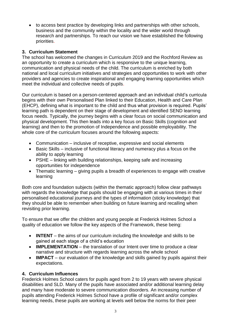• to access best practice by developing links and partnerships with other schools, business and the community within the locality and the wider world through research and partnerships. To reach our vision we have established the following priorities.

#### **3. Curriculum Statement**

The school has welcomed the changes in Curriculum 2019 and the Rochford Review as an opportunity to create a curriculum which is responsive to the unique learning, communication and physical needs of the child. The curriculum is enriched by both national and local curriculum initiatives and strategies and opportunities to work with other providers and agencies to create inspirational and engaging learning opportunities which meet the individual and collective needs of pupils.

Our curriculum is based on a person-centered approach and an individual child's curricula begins with their own Personalised Plan linked to their Education, Health and Care Plan (EHCP), defining what is important to the child and thus what provision is required. Pupils' learning path is dependent on their stage of development and identified SEND learning focus needs. Typically, the journey begins with a clear focus on social communication and physical development. This then leads into a key focus on Basic Skills (cognition and learning) and then to the promotion of Independence and possible employability. The whole core of the curriculum focuses around the following aspects:

- Communication inclusive of receptive, expressive and social elements
- Basic Skills inclusive of functional literacy and numeracy plus a focus on the ability to apply learning
- PSHE linking with building relationships, keeping safe and increasing opportunities for independence
- Thematic learning giving pupils a breadth of experiences to engage with creative learning

Both core and foundation subjects (within the thematic approach) follow clear pathways with regards the knowledge that pupils should be engaging with at various times in their personalised educational journeys and the types of information (sticky knowledge) that they should be able to remember when building on future learning and recalling when revisiting prior learning.

To ensure that we offer the children and young people at Frederick Holmes School a quality of education we follow the key aspects of the Framework, these being:

- **INTENT** the aims of our curriculum including the knowledge and skills to be gained at each stage of a child's education
- **IMPLEMENTATION** the translation of our Intent over time to produce a clear narrative and structure with regards learning across the whole school
- **IMPACT** our evaluation of the knowledge and skills gained by pupils against their expectations.

#### **4. Curriculum Influences**

Frederick Holmes School caters for pupils aged from 2 to 19 years with severe physical disabilities and SLD. Many of the pupils have associated and/or additional learning delay and many have moderate to severe communication disorders. An increasing number of pupils attending Frederick Holmes School have a profile of significant and/or complex learning needs, these pupils are working at levels well below the norms for their peer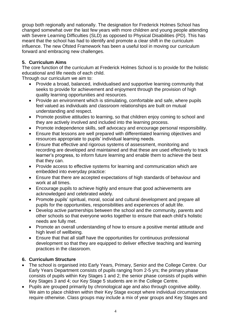group both regionally and nationally. The designation for Frederick Holmes School has changed somewhat over the last few years with more children and young people attending with Severe Learning Difficulties (SLD) as opposed to Physical Disabilities (PD). This has meant that the school has had to identify and promote a clear shift in the curriculum influence. The new Ofsted Framework has been a useful tool in moving our curriculum forward and embracing new challenges.

# **5. Curriculum Aims**

The core function of the curriculum at Frederick Holmes School is to provide for the holistic educational and life needs of each child.

Through our curriculum we aim to:

- Provide a broad, balanced, individualised and supportive learning community that seeks to provide for achievement and enjoyment through the provision of high quality learning opportunities and resources.
- Provide an environment which is stimulating, comfortable and safe, where pupils feel valued as individuals and classroom relationships are built on mutual understanding and respect.
- Promote positive attitudes to learning, so that children enjoy coming to school and they are actively involved and included into the learning process.
- Promote independence skills, self advocacy and encourage personal responsibility.
- Ensure that lessons are well prepared with differentiated learning objectives and resources appropriate to pupils' individual learning needs.
- Ensure that effective and rigorous systems of assessment, monitoring and recording are developed and maintained and that these are used effectively to track learner's progress, to inform future learning and enable them to achieve the best that they can.
- Provide access to effective systems for learning and communication which are embedded into everyday practice:
- Ensure that there are accepted expectations of high standards of behaviour and work at all times.
- Encourage pupils to achieve highly and ensure that good achievements are acknowledged and celebrated widely.
- Promote pupils' spiritual, moral, social and cultural development and prepare all pupils for the opportunities, responsibilities and experiences of adult life.
- Develop active partnerships between the school and the community, parents and other schools so that everyone works together to ensure that each child's holistic needs are fully met.
- Promote an overall understanding of how to ensure a positive mental attitude and high level of wellbeing.
- Ensure that that all staff have the opportunities for continuous professional development so that they are equipped to deliver effective teaching and learning practices in the classroom.

#### **6. Curriculum Structure**

- The school is organised into Early Years, Primary, Senior and the College Centre. Our Early Years Department consists of pupils ranging from 2-5 yrs; the primary phase consists of pupils within Key Stages 1 and 2; the senior phase consists of pupils within Key Stages 3 and 4; our Key Stage 5 students are in the College Centre.
- Pupils are grouped primarily by chronological age and also through cognitive ability. We aim to place children within their Key Stage except where individual circumstances require otherwise. Class groups may include a mix of year groups and Key Stages and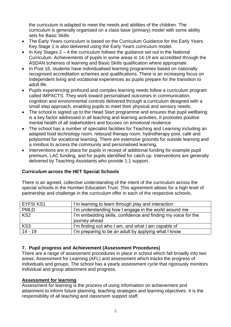the curriculum is adapted to meet the needs and abilities of the children. The curriculum is generally organised on a class base (primary) model with some ability sets for Basic Skills

- The Early Years curriculum is based on the Curriculum Guidance for the Early Years. Key Stage 1 is also delivered using the Early Years curriculum model.
- In Key Stages  $2 4$  the curriculum follows the guidance set out in the National Curriculum. Achievements of pupils in some areas in 14-19 are accredited through the ASDAN schemes of learning and Basic Skills qualification where appropriate.
- In Post 16, students have individualised learning programmes based on nationally recognised accreditation schemes and qualifications. There is an increasing focus on independent living and vocational experiences as pupils prepare for the transition to adult life.
- Pupils experiencing profound and complex learning needs follow a curriculum program called IMPACTS. They work toward personalised outcomes in communication, cognition and environmental controls delivered through a curriculum designed with a small step approach, enabling pupils to meet their physical and sensory needs.
- The school is signed up to the Head Start programme and ensures that pupil wellbeing is a key factor addressed in all teaching and learning activities. It promotes positive mental health of all stakeholders and focuses on emotional resilience
- The school has a number of specialist facilities for Teaching and Learning including an adapted food technology room, rebound therapy room, hydrotherapy pool, café and polytunnel for vocational learning. There are extensive grounds for outside learning and a minibus to access the community and personalised learning.
- Interventions are in place for pupils in receipt of additional funding for example pupil premium, LAC funding, and for pupils identified for catch up. Interventions are generally delivered by Teaching Assistants who provide 1:1 support.

#### **Curriculum across the HET Special Schools**

There is an agreed, collective understanding of the intent of the curriculum across the special schools in the Humber Education Trust. This agreement allows for a high level of partnership and challenge in the curriculum offer in each of the respective schools.

| EYFS/KS1        | I'm learning to learn through play and interaction                             |
|-----------------|--------------------------------------------------------------------------------|
| <b>PMLD</b>     | I'm understanding how I engage in the world around me                          |
| KS <sub>2</sub> | I'm embedding skills, confidence and finding my voice for the<br>journey ahead |
| KS <sub>3</sub> | I'm finding out who I am, and what I am capable of                             |
| $14 - 19$       | I'm preparing to be an adult by applying what I know                           |

#### **7. Pupil progress and Achievement (Assessment Procedures)**

There are a range of assessment procedures in place in school which fall broadly into two areas; Assessment for Learning (AFL) and assessment which tracks the progress of individuals and groups. The school has a yearly assessment cycle that rigorously monitors individual and group attainment and progress.

#### **Assessment for learning**

Assessment for learning is the process of using information on achievement and attainment to inform future planning, teaching strategies and learning objectives. It is the responsibility of all teaching and classroom support staff.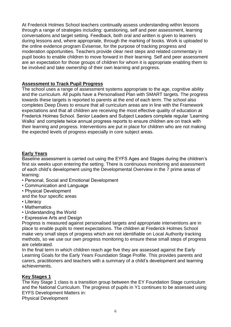At Frederick Holmes School teachers continually assess understanding within lessons through a range of strategies including: questioning, self and peer assessment, learning conversations and target setting. Feedback, both oral and written is given to learners during lessons and, where appropriate, through the marking of books. Work is uploaded to the online evidence program Evisense, for the purpose of tracking progress and moderation opportunities. Teachers provide clear next steps and related commentary in pupil books to enable children to move forward in their learning. Self and peer assessment are an expectation for those groups of children for whom it is appropriate enabling them to be involved and take ownership of their own learning and progress.

#### **Assessment to Track Pupil Progress**

The school uses a range of assessment systems appropriate to the age, cognitive ability and the curriculum. All pupils have a Personalised Plan with SMART targets. The progress towards these targets is reported to parents at the end of each term. The school also completes Deep Dives to ensure that all curriculum areas are in line with the Framework expectations and that all children are receiving the most effective quality of education at Frederick Holmes School. Senior Leaders and Subject Leaders complete regular 'Learning Walks' and complete twice annual progress reports to ensure children are on track with their learning and progress. Interventions are put in place for children who are not making the expected levels of progress especially in core subject areas.

#### **Early Years**

Baseline assessment is carried out using the EYFS Ages and Stages during the children's first six weeks upon entering the setting. There is continuous monitoring and assessment of each child's development using the Developmental Overview in the 7 prime areas of learning:

- Personal, Social and Emotional Development
- Communication and Language
- Physical Development
- and the four specific areas
- Literacy
- Mathematics
- Understanding the World
- Expressive Arts and Design

Progress is measured against personalised targets and appropriate interventions are in place to enable pupils to meet expectations. The children at Frederick Holmes School make very small steps of progress which are not identifiable on Local Authority tracking methods, so we use our own progress monitoring to ensure these small steps of progress are celebrated.

In the final term in which children reach age five they are assessed against the Early Learning Goals for the Early Years Foundation Stage Profile. This provides parents and carers, practitioners and teachers with a summary of a child's development and learning achievements.

#### **Key Stages 1**

The Key Stage 1 class is a transition group between the EY Foundation Stage curriculum and the National Curriculum. The progress of pupils in Y1 continues to be assessed using EYFS Development Matters in:

Physical Development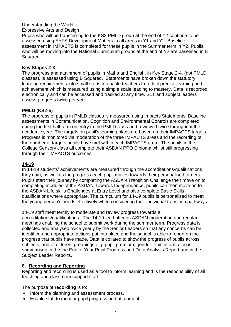#### Understanding the World

#### Expressive Arts and Design

Pupils who will be transferring to the KS2 PMLD group at the end of Y2 continue to be assessed using EYFS Development Matters in all areas in Y1 and Y2. Baseline assessment in IMPACTS is completed for these pupils in the Summer term in Y2. Pupils who will be moving into the National Curriculum groups at the end of Y2 are baselined in B Squared.

#### **Key Stages 2-3**

The progress and attainment of pupils in Maths and English, in Key Stage 2-4, (not PMLD classes), is assessed using B Squared. Statements have broken down the statutory learning requirements into small steps to enable teachers to reflect precise learning and achievement which is measured using a simple scale leading to mastery. Data is recorded electronically and can be accessed and tracked at any time. SLT and subject leaders assess progress twice per year.

#### **PMLD (KS2-5)**

The progress of pupils in PMLD classes is measured using Impacts Statements. Baseline assessments in Communication, Cognition and Environmental Controls are completed during the first half term on entry to the PMLD class and reviewed twice throughout the academic year. The targets on pupil's learning plans are based on their IMPACTS targets. Progress is monitored via moderation of the three IMPACTS areas and the recording of the number of targets pupils have met within each IMPACTS area. The pupils in the College Sensory class all complete their ASDAN PPQ Diploma whilst still progressing through their IMPACTS outcomes.

#### **14-19**

In 14-19 students' achievements are measured through the accreditations/qualifications they gain, as well as the progress each pupil makes towards their personalised targets. Pupils start their journey by completing the ASDAN Transition Challenge then move on to completing modules of the ASDAN Towards Independence, pupils can then move on to the ASDAN Life skills Challenges at Entry Level and also complete Basic Skills qualifications where appropriate. The curriculum for 14-19 pupils is personalised to meet the young person's needs effectively when considering their individual transition pathways.

14-19 staff meet termly to moderate and review progress towards all

accreditations/qualifications. The 14-19 lead attends ASDAN moderation and regular meetings enabling the school to submit work during the summer term. Progress data is collected and analysed twice yearly by the Senior Leaders so that any concerns can be identified and appropriate actions put into place and the school is able to report on the progress that pupils have made. Data is collated to show the progress of pupils across subjects, and of different groupings e.g. pupil premium, gender. This information is summarised in the the End of Year Pupil Progress and Data Analysis Report and in the Subject Leader Reports.

#### **8. Recording and Reporting**

Reporting and recording is used as a tool to inform learning and is the responsibility of all teaching and classroom support staff.

The purpose of **recording** is to:

- Inform the planning and assessment process.
- Enable staff to monitor pupil progress and attainment.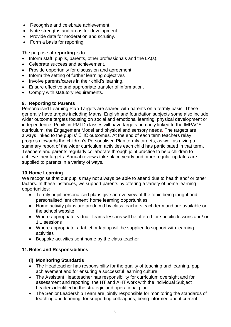- Recognise and celebrate achievement.
- Note strengths and areas for development.
- Provide data for moderation and scrutiny.
- Form a basis for reporting.

The purpose of **reporting** is to:

- Inform staff, pupils, parents, other professionals and the LA(s).
- Celebrate success and achievement.
- Provide opportunity for discussion and agreement.
- Inform the setting of further learning objectives
- Involve parents/carers in their child's learning.
- Ensure effective and appropriate transfer of information.
- Comply with statutory requirements.

# **9. Reporting to Parents**

Personalised Learning Plan Targets are shared with parents on a termly basis. These generally have targets including Maths, English and foundation subjects some also include wider outcome targets focusing on social and emotional learning, physical development or independence. Pupils in PMLD classes will have targets primarily linked to the IMPACS curriculum, the Engagement Model and physical and sensory needs. The targets are always linked to the pupils' EHC outcomes. At the end of each term teachers relay progress towards the children's Personalised Plan termly targets, as well as giving a summary report of the wider curriculum activities each child has participated in that term. Teachers and parents regularly collaborate through joint practice to help children to achieve their targets. Annual reviews take place yearly and other regular updates are supplied to parents in a variety of ways.

#### **10.Home Learning**

We recognise that our pupils may not always be able to attend due to health and/ or other factors. In these instances, we support parents by offering a variety of home learning opportunities:

- Termly pupil personalised plans give an overview of the topic being taught and personalised 'enrichment' home learning opportunities
- Home activity plans are produced by class teachers each term and are available on the school website
- Where appropriate, virtual Teams lessons will be offered for specific lessons and/ or 1:1 sessions
- Where appropriate, a tablet or laptop will be supplied to support with learning activities
- Bespoke activities sent home by the class teacher

# **11.Roles and Responsibilities**

# **(i) Monitoring Standards**

- The Headteacher has responsibility for the quality of teaching and learning, pupil achievement and for ensuring a successful learning culture.
- The Assistant Headteacher has responsibility for curriculum oversight and for assessment and reporting; the HT and AHT work with the individual Subject Leaders identified in the strategic and operational plan.
- The Senior Leadership Team are jointly responsible for monitoring the standards of teaching and learning, for supporting colleagues, being informed about current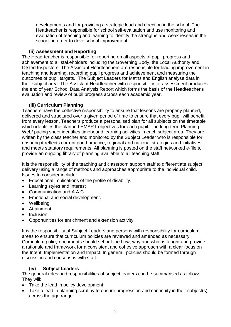developments and for providing a strategic lead and direction in the school. The Headteacher is responsible for school self-evaluation and use monitoring and evaluation of teaching and learning to identify the strengths and weaknesses in the school, in order to drive school improvement.

#### **(ii) Assessment and Reporting**

The Head-teacher is responsible for reporting on all aspects of pupil progress and achievement to all stakeholders including the Governing Body, the Local Authority and Ofsted Inspectors. The Assistant Headteachers are responsible for leading improvement in teaching and learning, recording pupil progress and achievement and measuring the outcomes of pupil targets. The Subject Leaders for Maths and English analyse data in their subject area. The Assistant Headteacher with responsibility for assessment produces the end of year School Data Analysis Report which forms the basis of the Headteacher's evaluation and review of pupil progress across each academic year.

#### **(iii) Curriculum Planning**

Teachers have the collective responsibility to ensure that lessons are properly planned, delivered and structured over a given period of time to ensure that every pupil will benefit from every lesson. Teachers produce a personalised plan for all subjects on the timetable which identifies the planned SMART objectives for each pupil. The long-term Planning Web/ pacing sheet identifies timebound learning activities in each subject area. They are written by the class teacher and monitored by the Subject Leader who is responsible for ensuring it reflects current good practice, regional and national strategies and initiatives, and meets statutory requirements. All planning is posted on the staff networked e-file to provide an ongoing library of planning available to all teaching staff.

It is the responsibility of the teaching and classroom support staff to differentiate subject delivery using a range of methods and approaches appropriate to the individual child. Issues to consider include:

- Educational implications of the profile of disability.
- Learning styles and interest
- Communication and A.A.C.
- Emotional and social development.
- Wellbeing
- Attainment.
- Inclusion
- Opportunities for enrichment and extension activity

It is the responsibility of Subject Leaders and persons with responsibility for curriculum areas to ensure that curriculum policies are reviewed and amended as necessary. Curriculum policy documents should set out the how, why and what is taught and provide a rationale and framework for a consistent and cohesive approach with a clear focus on the Intent, Implementation and Impact. In general, policies should be formed through discussion and consensus with staff.

# **(iv) Subject Leaders**

The general roles and responsibilities of subject leaders can be summarised as follows. They will:

- Take the lead in policy development
- Take a lead in planning scrutiny to ensure progression and continuity in their subject(s) across the age range.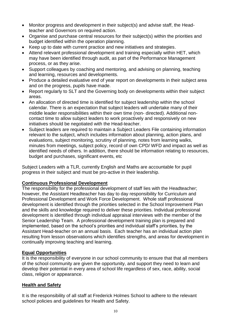- Monitor progress and development in their subject(s) and advise staff, the Headteacher and Governors on required action.
- Organise and purchase central resources for their subject(s) within the priorities and budget identified within the operation planning.
- Keep up to date with current practice and new initiatives and strategies.
- Attend relevant professional development and training especially within HET, which may have been identified through audit, as part of the Performance Management process, or as they arise.
- Support colleagues by coaching and mentoring, and advising on planning, teaching and learning, resources and developments.
- Produce a detailed evaluative end of vear report on developments in their subject area and on the progress, pupils have made.
- Report regularly to SLT and the Governing body on developments within their subject areas.
- An allocation of directed time is identified for subject leadership within the school calendar. There is an expectation that subject leaders will undertake many of their middle leader responsibilities within their own time (non- directed). Additional noncontact time to allow subject leaders to work proactively and responsively on new initiatives should be negotiated with the Head-teacher.
- Subject leaders are required to maintain a Subject Leaders File containing information relevant to the subject, which includes information about planning, action plans, and evaluations, subject monitoring, scrutiny of planning, notes from learning walks, minutes from meetings, subject policy, record of own CPD/ WFD and impact as well as identified needs of others. In addition, there should be information relating to resources, budget and purchases, significant events, etc

Subject Leaders with a TLR, currently English and Maths are accountable for pupil progress in their subject and must be pro-active in their leadership.

#### **Continuous Professional Development**

The responsibility for the professional development of staff lies with the Headteacher; however, the Assistant Headteacher has day to day responsibility for Curriculum and Professional Development and Work Force Development. Whole staff professional development is identified through the priorities selected in the School Improvement Plan and the skills and knowledge required to deliver these priorities. Individual professional development is identified through individual appraisal interviews with the member of the Senior Leadership Team. A professional development training plan is prepared and implemented, based on the school's priorities and individual staff's priorities, by the Assistant Head-teacher on an annual basis. Each teacher has an individual action plan resulting from lesson observations which identifies strengths, and areas for development in continually improving teaching and learning.

#### **Equal Opportunities**

It is the responsibility of everyone in our school community to ensure that that all members of the school community are given the opportunity, and support they need to learn and develop their potential in every area of school life regardless of sex, race, ability, social class, religion or appearance.

#### **Health and Safety**

It is the responsibility of all staff at Frederick Holmes School to adhere to the relevant school policies and guidelines for Health and Safety.